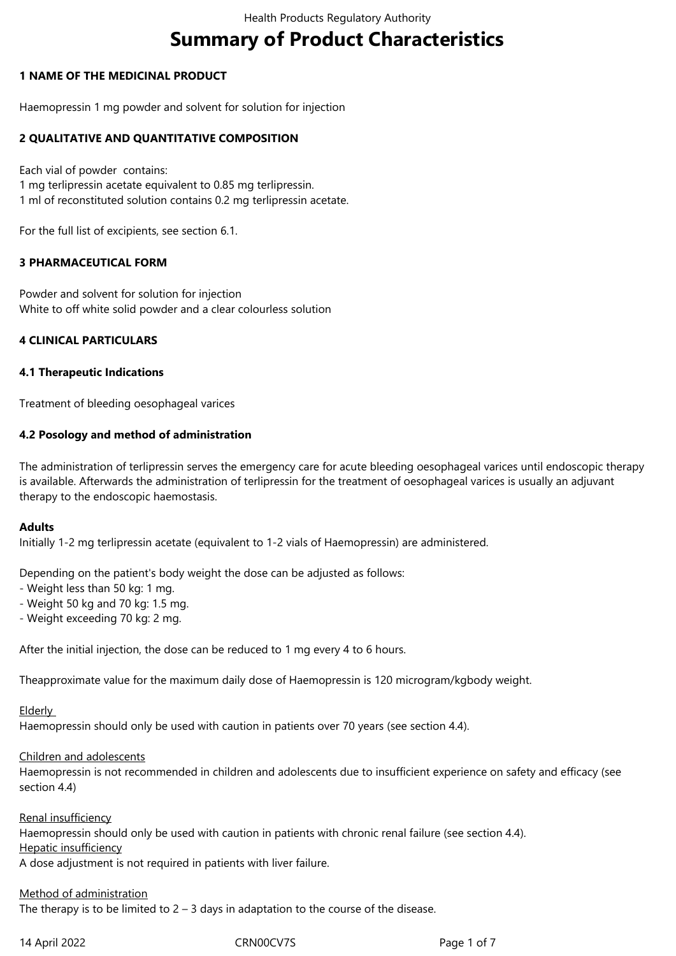# **Summary of Product Characteristics**

# **1 NAME OF THE MEDICINAL PRODUCT**

Haemopressin 1 mg powder and solvent for solution for injection

# **2 QUALITATIVE AND QUANTITATIVE COMPOSITION**

Each vial of powder contains: 1 mg terlipressin acetate equivalent to 0.85 mg terlipressin. 1 ml of reconstituted solution contains 0.2 mg terlipressin acetate.

For the full list of excipients, see section 6.1.

#### **3 PHARMACEUTICAL FORM**

Powder and solvent for solution for injection White to off white solid powder and a clear colourless solution

#### **4 CLINICAL PARTICULARS**

#### **4.1 Therapeutic Indications**

Treatment of bleeding oesophageal varices

# **4.2 Posology and method of administration**

The administration of terlipressin serves the emergency care for acute bleeding oesophageal varices until endoscopic therapy is available. Afterwards the administration of terlipressin for the treatment of oesophageal varices is usually an adjuvant therapy to the endoscopic haemostasis.

#### **Adults**

Initially 1-2 mg terlipressin acetate (equivalent to 1-2 vials of Haemopressin) are administered.

Depending on the patient's body weight the dose can be adjusted as follows:

- Weight less than 50 kg: 1 mg.
- Weight 50 kg and 70 kg: 1.5 mg.
- Weight exceeding 70 kg: 2 mg.

After the initial injection, the dose can be reduced to 1 mg every 4 to 6 hours.

Theapproximate value for the maximum daily dose of Haemopressin is 120 microgram/kgbody weight.

Elderly

Haemopressin should only be used with caution in patients over 70 years (see section 4.4).

#### Children and adolescents

Haemopressin is not recommended in children and adolescents due to insufficient experience on safety and efficacy (see section 4.4)

#### Renal insufficiency

Haemopressin should only be used with caution in patients with chronic renal failure (see section 4.4).

Hepatic insufficiency

A dose adjustment is not required in patients with liver failure.

#### Method of administration

The therapy is to be limited to  $2 - 3$  days in adaptation to the course of the disease.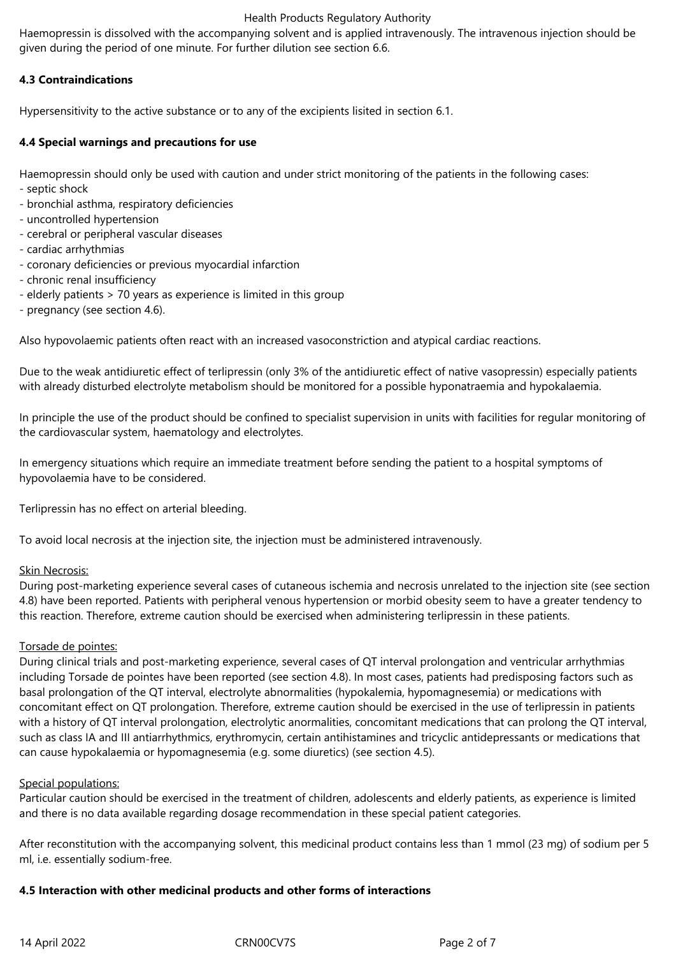#### Health Products Regulatory Authority

Haemopressin is dissolved with the accompanying solvent and is applied intravenously. The intravenous injection should be given during the period of one minute. For further dilution see section 6.6.

# **4.3 Contraindications**

Hypersensitivity to the active substance or to any of the excipients lisited in section 6.1.

# **4.4 Special warnings and precautions for use**

Haemopressin should only be used with caution and under strict monitoring of the patients in the following cases:

- septic shock
- bronchial asthma, respiratory deficiencies
- uncontrolled hypertension
- cerebral or peripheral vascular diseases
- cardiac arrhythmias
- coronary deficiencies or previous myocardial infarction
- chronic renal insufficiency
- elderly patients > 70 years as experience is limited in this group
- pregnancy (see section 4.6).

Also hypovolaemic patients often react with an increased vasoconstriction and atypical cardiac reactions.

Due to the weak antidiuretic effect of terlipressin (only 3% of the antidiuretic effect of native vasopressin) especially patients with already disturbed electrolyte metabolism should be monitored for a possible hyponatraemia and hypokalaemia.

In principle the use of the product should be confined to specialist supervision in units with facilities for regular monitoring of the cardiovascular system, haematology and electrolytes.

In emergency situations which require an immediate treatment before sending the patient to a hospital symptoms of hypovolaemia have to be considered.

Terlipressin has no effect on arterial bleeding.

To avoid local necrosis at the injection site, the injection must be administered intravenously.

#### Skin Necrosis:

During post-marketing experience several cases of cutaneous ischemia and necrosis unrelated to the injection site (see section 4.8) have been reported. Patients with peripheral venous hypertension or morbid obesity seem to have a greater tendency to this reaction. Therefore, extreme caution should be exercised when administering terlipressin in these patients.

#### Torsade de pointes:

During clinical trials and post-marketing experience, several cases of QT interval prolongation and ventricular arrhythmias including Torsade de pointes have been reported (see section 4.8). In most cases, patients had predisposing factors such as basal prolongation of the QT interval, electrolyte abnormalities (hypokalemia, hypomagnesemia) or medications with concomitant effect on QT prolongation. Therefore, extreme caution should be exercised in the use of terlipressin in patients with a history of QT interval prolongation, electrolytic anormalities, concomitant medications that can prolong the QT interval, such as class IA and III antiarrhythmics, erythromycin, certain antihistamines and tricyclic antidepressants or medications that can cause hypokalaemia or hypomagnesemia (e.g. some diuretics) (see section 4.5).

#### Special populations:

Particular caution should be exercised in the treatment of children, adolescents and elderly patients, as experience is limited and there is no data available regarding dosage recommendation in these special patient categories.

After reconstitution with the accompanying solvent, this medicinal product contains less than 1 mmol (23 mg) of sodium per 5 ml, i.e. essentially sodium-free.

#### **4.5 Interaction with other medicinal products and other forms of interactions**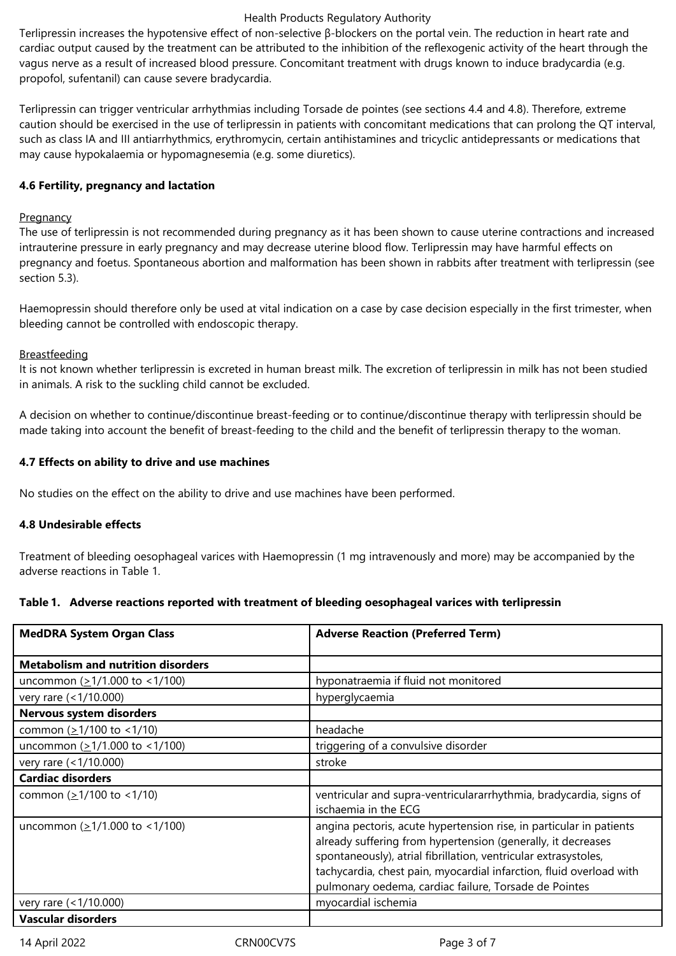#### Health Products Regulatory Authority

Terlipressin increases the hypotensive effect of non-selective β-blockers on the portal vein. The reduction in heart rate and cardiac output caused by the treatment can be attributed to the inhibition of the reflexogenic activity of the heart through the vagus nerve as a result of increased blood pressure. Concomitant treatment with drugs known to induce bradycardia (e.g. propofol, sufentanil) can cause severe bradycardia.

Terlipressin can trigger ventricular arrhythmias including Torsade de pointes (see sections 4.4 and 4.8). Therefore, extreme caution should be exercised in the use of terlipressin in patients with concomitant medications that can prolong the QT interval, such as class IA and III antiarrhythmics, erythromycin, certain antihistamines and tricyclic antidepressants or medications that may cause hypokalaemia or hypomagnesemia (e.g. some diuretics).

#### **4.6 Fertility, pregnancy and lactation**

#### **Pregnancy**

The use of terlipressin is not recommended during pregnancy as it has been shown to cause uterine contractions and increased intrauterine pressure in early pregnancy and may decrease uterine blood flow. Terlipressin may have harmful effects on pregnancy and foetus. Spontaneous abortion and malformation has been shown in rabbits after treatment with terlipressin (see section 5.3).

Haemopressin should therefore only be used at vital indication on a case by case decision especially in the first trimester, when bleeding cannot be controlled with endoscopic therapy.

# Breastfeeding

It is not known whether terlipressin is excreted in human breast milk. The excretion of terlipressin in milk has not been studied in animals. A risk to the suckling child cannot be excluded.

A decision on whether to continue/discontinue breast‑feeding or to continue/discontinue therapy with terlipressin should be made taking into account the benefit of breast-feeding to the child and the benefit of terlipressin therapy to the woman.

# **4.7 Effects on ability to drive and use machines**

No studies on the effect on the ability to drive and use machines have been performed.

#### **4.8 Undesirable effects**

Treatment of bleeding oesophageal varices with Haemopressin (1 mg intravenously and more) may be accompanied by the adverse reactions in Table 1.

#### **Table 1. Adverse reactions reported with treatment of bleeding oesophageal varices with terlipressin**

| <b>MedDRA System Organ Class</b>                | <b>Adverse Reaction (Preferred Term)</b>                                                                                                                                                                                                                                                                                               |
|-------------------------------------------------|----------------------------------------------------------------------------------------------------------------------------------------------------------------------------------------------------------------------------------------------------------------------------------------------------------------------------------------|
| <b>Metabolism and nutrition disorders</b>       |                                                                                                                                                                                                                                                                                                                                        |
| uncommon $(≥1/1.000$ to <1/100)                 | hyponatraemia if fluid not monitored                                                                                                                                                                                                                                                                                                   |
| very rare (<1/10.000)                           | hyperglycaemia                                                                                                                                                                                                                                                                                                                         |
| Nervous system disorders                        |                                                                                                                                                                                                                                                                                                                                        |
| common $(21/100$ to <1/10)                      | headache                                                                                                                                                                                                                                                                                                                               |
| uncommon $( \geq 1/1.000 \text{ to } < 1/100 )$ | triggering of a convulsive disorder                                                                                                                                                                                                                                                                                                    |
| very rare (<1/10.000)                           | stroke                                                                                                                                                                                                                                                                                                                                 |
| <b>Cardiac disorders</b>                        |                                                                                                                                                                                                                                                                                                                                        |
| common $(21/100$ to <1/10)                      | ventricular and supra-ventriculararrhythmia, bradycardia, signs of<br>ischaemia in the ECG                                                                                                                                                                                                                                             |
| uncommon $( \geq 1/1.000 \text{ to } < 1/100 )$ | angina pectoris, acute hypertension rise, in particular in patients<br>already suffering from hypertension (generally, it decreases<br>spontaneously), atrial fibrillation, ventricular extrasystoles,<br>tachycardia, chest pain, myocardial infarction, fluid overload with<br>pulmonary oedema, cardiac failure, Torsade de Pointes |
| very rare (<1/10.000)                           | myocardial ischemia                                                                                                                                                                                                                                                                                                                    |
| <b>Vascular disorders</b>                       |                                                                                                                                                                                                                                                                                                                                        |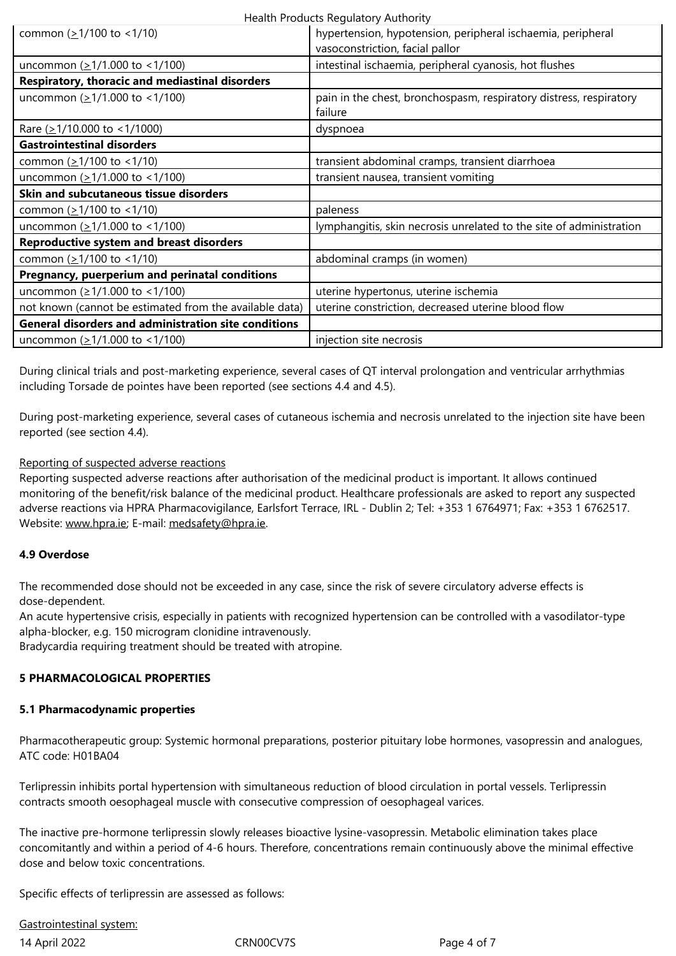| uncommon $( \geq 1/1.000 \text{ to } < 1/100 )$             | intestinal ischaemia, peripheral cyanosis, hot flushes              |
|-------------------------------------------------------------|---------------------------------------------------------------------|
| Respiratory, thoracic and mediastinal disorders             |                                                                     |
| uncommon $(21/1.000 \text{ to } 1/100)$                     | pain in the chest, bronchospasm, respiratory distress, respiratory  |
|                                                             | failure                                                             |
| Rare $( \geq 1/10.000$ to <1/1000)                          | dyspnoea                                                            |
| <b>Gastrointestinal disorders</b>                           |                                                                     |
| common $( \geq 1/100$ to <1/10)                             | transient abdominal cramps, transient diarrhoea                     |
| uncommon $( \geq 1/1.000 \text{ to } < 1/100 )$             | transient nausea, transient vomiting                                |
| <b>Skin and subcutaneous tissue disorders</b>               |                                                                     |
| common $( \geq 1/100$ to <1/10)                             | paleness                                                            |
| uncommon $(21/1.000 \text{ to } 1/100)$                     | lymphangitis, skin necrosis unrelated to the site of administration |
| <b>Reproductive system and breast disorders</b>             |                                                                     |
| common $( \geq 1/100$ to <1/10)                             | abdominal cramps (in women)                                         |
| Pregnancy, puerperium and perinatal conditions              |                                                                     |
| uncommon ( $\geq$ 1/1.000 to < 1/100)                       | uterine hypertonus, uterine ischemia                                |
| not known (cannot be estimated from the available data)     | uterine constriction, decreased uterine blood flow                  |
| <b>General disorders and administration site conditions</b> |                                                                     |
| uncommon $(21/1.000 \text{ to } 1/100)$                     | injection site necrosis                                             |

During clinical trials and post-marketing experience, several cases of QT interval prolongation and ventricular arrhythmias including Torsade de pointes have been reported (see sections 4.4 and 4.5).

During post-marketing experience, several cases of cutaneous ischemia and necrosis unrelated to the injection site have been reported (see section 4.4).

# Reporting of suspected adverse reactions

Reporting suspected adverse reactions after authorisation of the medicinal product is important. It allows continued monitoring of the benefit/risk balance of the medicinal product. Healthcare professionals are asked to report any suspected adverse reactions via HPRA Pharmacovigilance, Earlsfort Terrace, IRL - Dublin 2; Tel: +353 1 6764971; Fax: +353 1 6762517. Website: www.hpra.ie; E-mail: medsafety@hpra.ie.

#### **4.9 Overdose**

The reco[mmended do](http://www.hpra.ie/)se shou[ld not be exceeded](mailto:medsafety@hpra.ie) in any case, since the risk of severe circulatory adverse effects is dose-dependent.

An acute hypertensive crisis, especially in patients with recognized hypertension can be controlled with a vasodilator-type alpha-blocker, e.g. 150 microgram clonidine intravenously.

Bradycardia requiring treatment should be treated with atropine.

#### **5 PHARMACOLOGICAL PROPERTIES**

#### **5.1 Pharmacodynamic properties**

Pharmacotherapeutic group: Systemic hormonal preparations, posterior pituitary lobe hormones, vasopressin and analogues, ATC code: H01BA04

Terlipressin inhibits portal hypertension with simultaneous reduction of blood circulation in portal vessels. Terlipressin contracts smooth oesophageal muscle with consecutive compression of oesophageal varices.

The inactive pre-hormone terlipressin slowly releases bioactive lysine‑vasopressin. Metabolic elimination takes place concomitantly and within a period of 4‑6 hours. Therefore, concentrations remain continuously above the minimal effective dose and below toxic concentrations.

Specific effects of terlipressin are assessed as follows:

# Gastrointestinal system:

14 April 2022 CRN00CV7S Page 4 of 7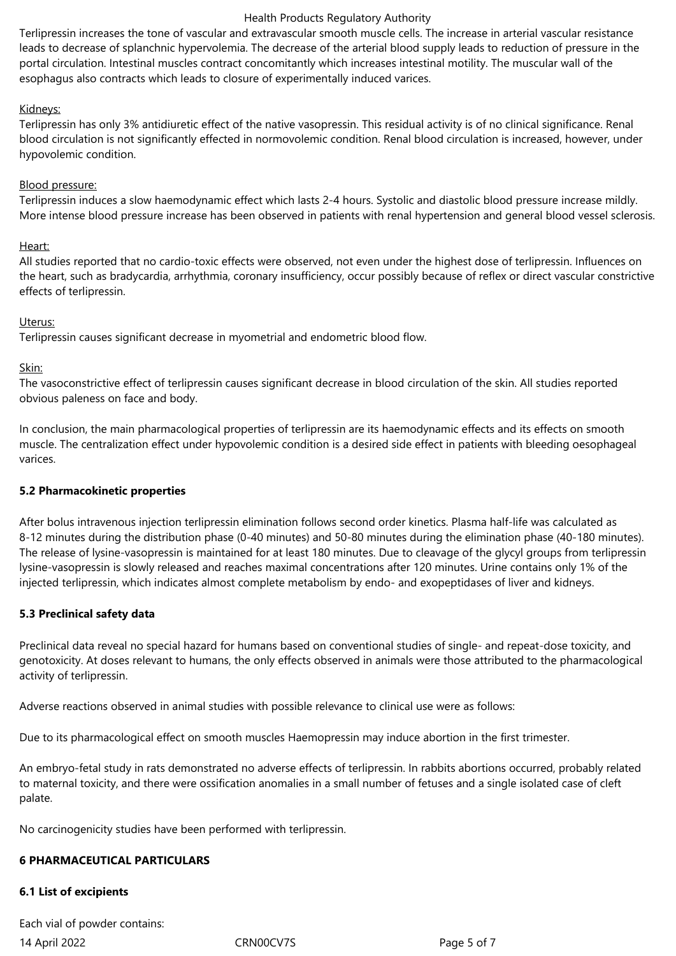#### Health Products Regulatory Authority

Terlipressin increases the tone of vascular and extravascular smooth muscle cells. The increase in arterial vascular resistance leads to decrease of splanchnic hypervolemia. The decrease of the arterial blood supply leads to reduction of pressure in the portal circulation. Intestinal muscles contract concomitantly which increases intestinal motility. The muscular wall of the esophagus also contracts which leads to closure of experimentally induced varices.

#### Kidneys:

Terlipressin has only 3% antidiuretic effect of the native vasopressin. This residual activity is of no clinical significance. Renal blood circulation is not significantly effected in normovolemic condition. Renal blood circulation is increased, however, under hypovolemic condition.

#### Blood pressure:

Terlipressin induces a slow haemodynamic effect which lasts 2‑4 hours. Systolic and diastolic blood pressure increase mildly. More intense blood pressure increase has been observed in patients with renal hypertension and general blood vessel sclerosis.

#### Heart:

All studies reported that no cardio-toxic effects were observed, not even under the highest dose of terlipressin. Influences on the heart, such as bradycardia, arrhythmia, coronary insufficiency, occur possibly because of reflex or direct vascular constrictive effects of terlipressin.

#### Uterus:

Terlipressin causes significant decrease in myometrial and endometric blood flow.

#### Skin:

The vasoconstrictive effect of terlipressin causes significant decrease in blood circulation of the skin. All studies reported obvious paleness on face and body.

In conclusion, the main pharmacological properties of terlipressin are its haemodynamic effects and its effects on smooth muscle. The centralization effect under hypovolemic condition is a desired side effect in patients with bleeding oesophageal varices.

#### **5.2 Pharmacokinetic properties**

After bolus intravenous injection terlipressin elimination follows second order kinetics. Plasma half‑life was calculated as 8-12 minutes during the distribution phase (0-40 minutes) and 50-80 minutes during the elimination phase (40-180 minutes). The release of lysine-vasopressin is maintained for at least 180 minutes. Due to cleavage of the glycyl groups from terlipressin lysine‑vasopressin is slowly released and reaches maximal concentrations after 120 minutes. Urine contains only 1% of the injected terlipressin, which indicates almost complete metabolism by endo‑ and exopeptidases of liver and kidneys.

#### **5.3 Preclinical safety data**

Preclinical data reveal no special hazard for humans based on conventional studies of single- and repeat-dose toxicity, and genotoxicity. At doses relevant to humans, the only effects observed in animals were those attributed to the pharmacological activity of terlipressin.

Adverse reactions observed in animal studies with possible relevance to clinical use were as follows:

Due to its pharmacological effect on smooth muscles Haemopressin may induce abortion in the first trimester.

An embryo-fetal study in rats demonstrated no adverse effects of terlipressin. In rabbits abortions occurred, probably related to maternal toxicity, and there were ossification anomalies in a small number of fetuses and a single isolated case of cleft palate.

No carcinogenicity studies have been performed with terlipressin.

#### **6 PHARMACEUTICAL PARTICULARS**

#### **6.1 List of excipients**

14 April 2022 CRN00CV7S Page 5 of 7 Each vial of powder contains: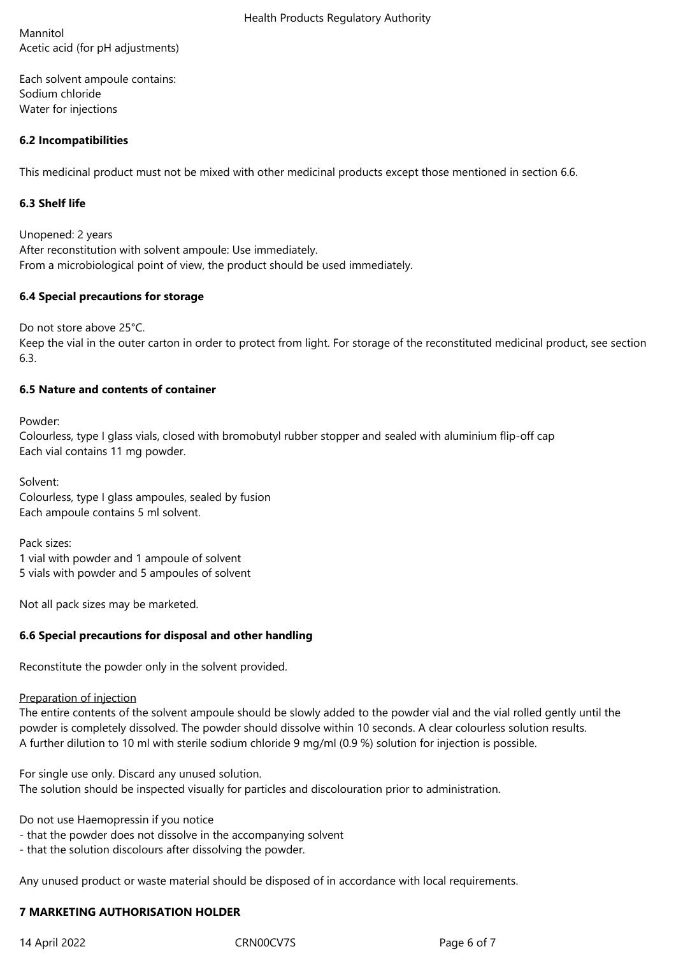Mannitol Acetic acid (for pH adjustments)

Each solvent ampoule contains: Sodium chloride Water for injections

# **6.2 Incompatibilities**

This medicinal product must not be mixed with other medicinal products except those mentioned in section 6.6.

# **6.3 Shelf life**

Unopened: 2 years After reconstitution with solvent ampoule: Use immediately. From a microbiological point of view, the product should be used immediately.

# **6.4 Special precautions for storage**

Do not store above 25°C.

Keep the vial in the outer carton in order to protect from light. For storage of the reconstituted medicinal product, see section 6.3.

# **6.5 Nature and contents of container**

Powder:

Colourless, type I glass vials, closed with bromobutyl rubber stopper and sealed with aluminium flip-off cap Each vial contains 11 mg powder.

Solvent: Colourless, type I glass ampoules, sealed by fusion Each ampoule contains 5 ml solvent.

Pack sizes: 1 vial with powder and 1 ampoule of solvent 5 vials with powder and 5 ampoules of solvent

Not all pack sizes may be marketed.

# **6.6 Special precautions for disposal and other handling**

Reconstitute the powder only in the solvent provided.

#### Preparation of injection

The entire contents of the solvent ampoule should be slowly added to the powder vial and the vial rolled gently until the powder is completely dissolved. The powder should dissolve within 10 seconds. A clear colourless solution results. A further dilution to 10 ml with sterile sodium chloride 9 mg/ml (0.9 %) solution for injection is possible.

For single use only. Discard any unused solution.

The solution should be inspected visually for particles and discolouration prior to administration.

Do not use Haemopressin if you notice

- that the powder does not dissolve in the accompanying solvent
- that the solution discolours after dissolving the powder.

Any unused product or waste material should be disposed of in accordance with local requirements.

# **7 MARKETING AUTHORISATION HOLDER**

14 April 2022 CRN00CV7S Page 6 of 7